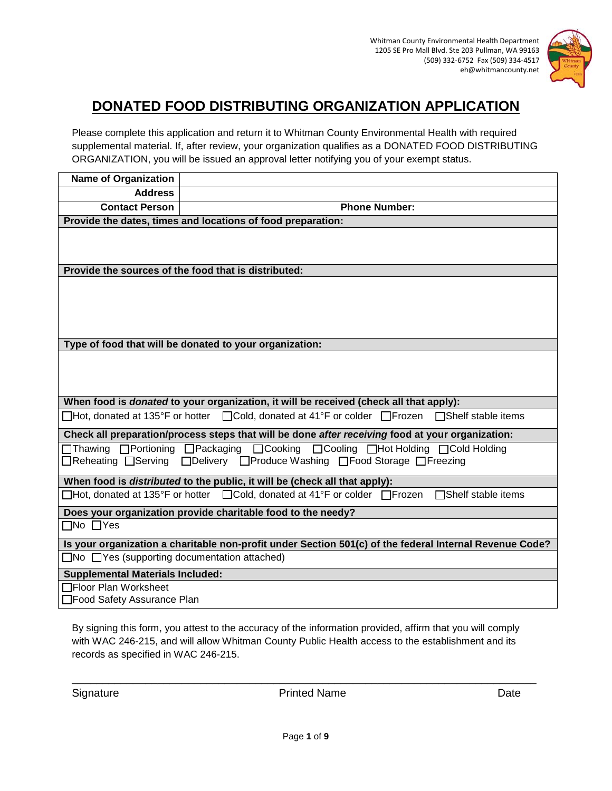

# **DONATED FOOD DISTRIBUTING ORGANIZATION APPLICATION**

Please complete this application and return it to Whitman County Environmental Health with required supplemental material. If, after review, your organization qualifies as a DONATED FOOD DISTRIBUTING ORGANIZATION, you will be issued an approval letter notifying you of your exempt status.

| <b>Name of Organization</b>                                                                                                                            |                                                                                                  |  |
|--------------------------------------------------------------------------------------------------------------------------------------------------------|--------------------------------------------------------------------------------------------------|--|
| <b>Address</b>                                                                                                                                         |                                                                                                  |  |
| <b>Contact Person</b>                                                                                                                                  | <b>Phone Number:</b>                                                                             |  |
| Provide the dates, times and locations of food preparation:                                                                                            |                                                                                                  |  |
|                                                                                                                                                        |                                                                                                  |  |
| Provide the sources of the food that is distributed:                                                                                                   |                                                                                                  |  |
|                                                                                                                                                        |                                                                                                  |  |
| Type of food that will be donated to your organization:                                                                                                |                                                                                                  |  |
|                                                                                                                                                        |                                                                                                  |  |
| When food is <i>donated</i> to your organization, it will be received (check all that apply):                                                          |                                                                                                  |  |
|                                                                                                                                                        | □Hot, donated at 135°F or hotter □Cold, donated at 41°F or colder □Frozen<br>□Shelf stable items |  |
| Check all preparation/process steps that will be done after receiving food at your organization:                                                       |                                                                                                  |  |
| □Thawing □Portioning □Packaging □Cooking □Cooling □Hot Holding □Cold Holding<br>□Reheating □Serving □Delivery □Produce Washing □Food Storage □Freezing |                                                                                                  |  |
|                                                                                                                                                        | When food is <i>distributed</i> to the public, it will be (check all that apply):                |  |
|                                                                                                                                                        | □Hot, donated at 135°F or hotter □Cold, donated at 41°F or colder □Frozen<br>□Shelf stable items |  |
|                                                                                                                                                        | Does your organization provide charitable food to the needy?                                     |  |
| $\Box$ No $\Box$ Yes                                                                                                                                   |                                                                                                  |  |
| Is your organization a charitable non-profit under Section 501(c) of the federal Internal Revenue Code?                                                |                                                                                                  |  |
| $\Box$ No $\Box$ Yes (supporting documentation attached)                                                                                               |                                                                                                  |  |
| <b>Supplemental Materials Included:</b>                                                                                                                |                                                                                                  |  |
| □Floor Plan Worksheet<br>□Food Safety Assurance Plan                                                                                                   |                                                                                                  |  |

By signing this form, you attest to the accuracy of the information provided, affirm that you will comply with WAC 246-215, and will allow Whitman County Public Health access to the establishment and its records as specified in WAC 246-215.

Signature **Date Printed Name Printed Name Date** 

\_\_\_\_\_\_\_\_\_\_\_\_\_\_\_\_\_\_\_\_\_\_\_\_\_\_\_\_\_\_\_\_\_\_\_\_\_\_\_\_\_\_\_\_\_\_\_\_\_\_\_\_\_\_\_\_\_\_\_\_\_\_\_\_\_\_\_\_\_\_\_\_\_\_\_\_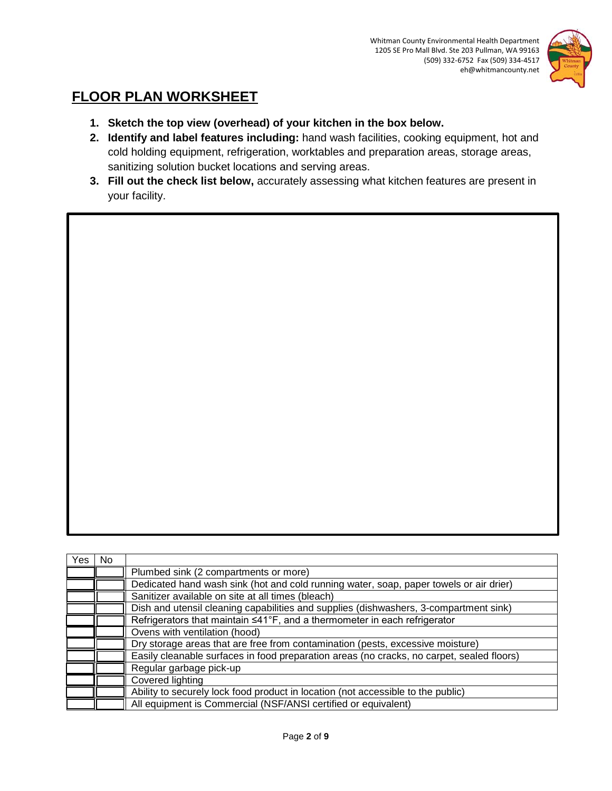

# **FLOOR PLAN WORKSHEET**

- **1. Sketch the top view (overhead) of your kitchen in the box below.**
- **2. Identify and label features including:** hand wash facilities, cooking equipment, hot and cold holding equipment, refrigeration, worktables and preparation areas, storage areas, sanitizing solution bucket locations and serving areas.
- **3. Fill out the check list below,** accurately assessing what kitchen features are present in your facility.

| Yes | No. |                                                                                           |
|-----|-----|-------------------------------------------------------------------------------------------|
|     |     | Plumbed sink (2 compartments or more)                                                     |
|     |     | Dedicated hand wash sink (hot and cold running water, soap, paper towels or air drier)    |
|     |     | Sanitizer available on site at all times (bleach)                                         |
|     |     | Dish and utensil cleaning capabilities and supplies (dishwashers, 3-compartment sink)     |
|     |     | Refrigerators that maintain ≤41°F, and a thermometer in each refrigerator                 |
|     |     | Ovens with ventilation (hood)                                                             |
|     |     | Dry storage areas that are free from contamination (pests, excessive moisture)            |
|     |     | Easily cleanable surfaces in food preparation areas (no cracks, no carpet, sealed floors) |
|     |     | Regular garbage pick-up                                                                   |
|     |     | Covered lighting                                                                          |
|     |     | Ability to securely lock food product in location (not accessible to the public)          |
|     |     | All equipment is Commercial (NSF/ANSI certified or equivalent)                            |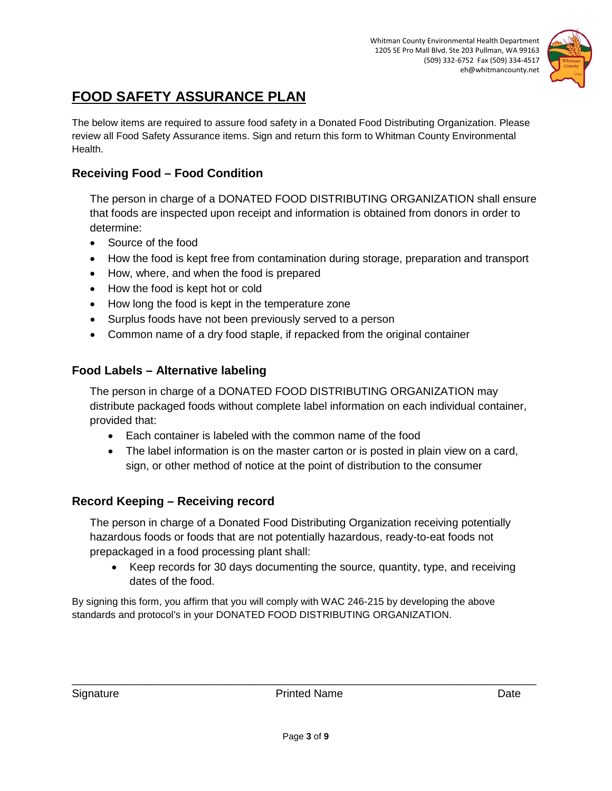

# **FOOD SAFETY ASSURANCE PLAN**

The below items are required to assure food safety in a Donated Food Distributing Organization. Please review all Food Safety Assurance items. Sign and return this form to Whitman County Environmental Health.

## **Receiving Food – Food Condition**

The person in charge of a DONATED FOOD DISTRIBUTING ORGANIZATION shall ensure that foods are inspected upon receipt and information is obtained from donors in order to determine:

- Source of the food
- How the food is kept free from contamination during storage, preparation and transport
- How, where, and when the food is prepared
- How the food is kept hot or cold
- How long the food is kept in the temperature zone
- Surplus foods have not been previously served to a person
- Common name of a dry food staple, if repacked from the original container

### **Food Labels – Alternative labeling**

The person in charge of a DONATED FOOD DISTRIBUTING ORGANIZATION may distribute packaged foods without complete label information on each individual container, provided that:

- Each container is labeled with the common name of the food
- The label information is on the master carton or is posted in plain view on a card, sign, or other method of notice at the point of distribution to the consumer

### **Record Keeping – Receiving record**

The person in charge of a Donated Food Distributing Organization receiving potentially hazardous foods or foods that are not potentially hazardous, ready-to-eat foods not prepackaged in a food processing plant shall:

• Keep records for 30 days documenting the source, quantity, type, and receiving dates of the food.

By signing this form, you affirm that you will comply with WAC 246-215 by developing the above standards and protocol's in your DONATED FOOD DISTRIBUTING ORGANIZATION.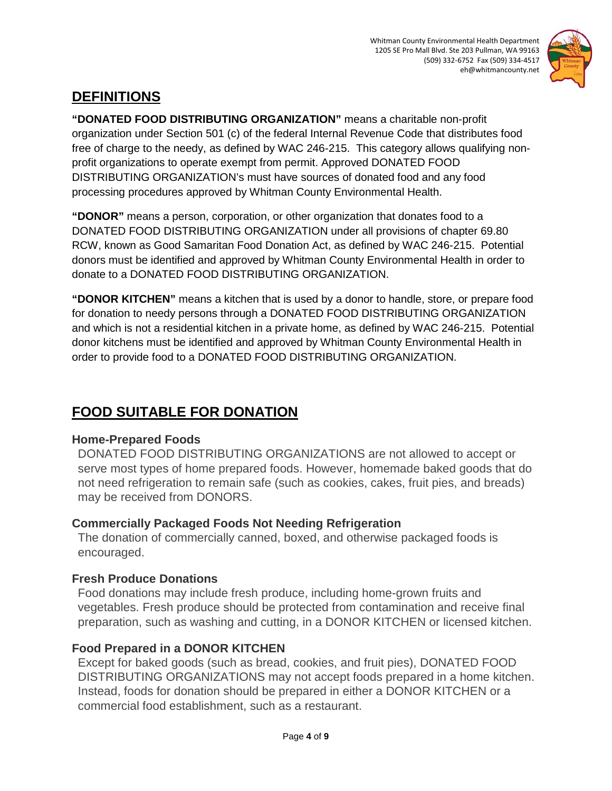

# **DEFINITIONS**

**"DONATED FOOD DISTRIBUTING ORGANIZATION"** means a charitable non-profit organization under Section 501 (c) of the federal Internal Revenue Code that distributes food free of charge to the needy, as defined by WAC 246-215. This category allows qualifying nonprofit organizations to operate exempt from permit. Approved DONATED FOOD DISTRIBUTING ORGANIZATION's must have sources of donated food and any food processing procedures approved by Whitman County Environmental Health.

**"DONOR"** means a person, corporation, or other organization that donates food to a DONATED FOOD DISTRIBUTING ORGANIZATION under all provisions of chapter 69.80 RCW, known as Good Samaritan Food Donation Act, as defined by WAC 246-215. Potential donors must be identified and approved by Whitman County Environmental Health in order to donate to a DONATED FOOD DISTRIBUTING ORGANIZATION.

**"DONOR KITCHEN"** means a kitchen that is used by a donor to handle, store, or prepare food for donation to needy persons through a DONATED FOOD DISTRIBUTING ORGANIZATION and which is not a residential kitchen in a private home, as defined by WAC 246-215. Potential donor kitchens must be identified and approved by Whitman County Environmental Health in order to provide food to a DONATED FOOD DISTRIBUTING ORGANIZATION.

# **FOOD SUITABLE FOR DONATION**

## **Home-Prepared Foods**

DONATED FOOD DISTRIBUTING ORGANIZATIONS are not allowed to accept or serve most types of home prepared foods. However, homemade baked goods that do not need refrigeration to remain safe (such as cookies, cakes, fruit pies, and breads) may be received from DONORS.

## **Commercially Packaged Foods Not Needing Refrigeration**

The donation of commercially canned, boxed, and otherwise packaged foods is encouraged.

## **Fresh Produce Donations**

Food donations may include fresh produce, including home-grown fruits and vegetables. Fresh produce should be protected from contamination and receive final preparation, such as washing and cutting, in a DONOR KITCHEN or licensed kitchen.

# **Food Prepared in a DONOR KITCHEN**

Except for baked goods (such as bread, cookies, and fruit pies), DONATED FOOD DISTRIBUTING ORGANIZATIONS may not accept foods prepared in a home kitchen. Instead, foods for donation should be prepared in either a DONOR KITCHEN or a commercial food establishment, such as a restaurant.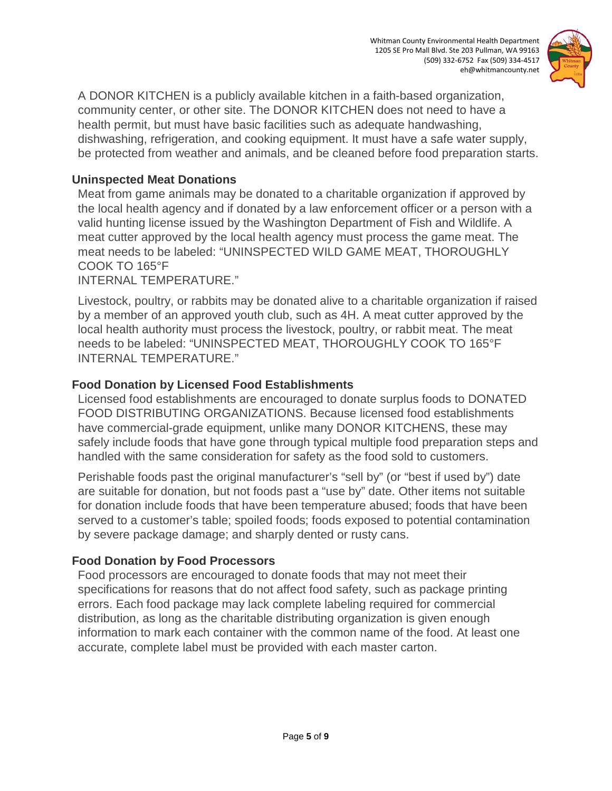Whitman County Environmental Health Department 1205 SE Pro Mall Blvd. Ste 203 Pullman, WA 99163 (509) 332-6752 Fax (509) 334-4517 eh@whitmancounty.net



A DONOR KITCHEN is a publicly available kitchen in a faith-based organization, community center, or other site. The DONOR KITCHEN does not need to have a health permit, but must have basic facilities such as adequate handwashing, dishwashing, refrigeration, and cooking equipment. It must have a safe water supply, be protected from weather and animals, and be cleaned before food preparation starts.

### **Uninspected Meat Donations**

Meat from game animals may be donated to a charitable organization if approved by the local health agency and if donated by a law enforcement officer or a person with a valid hunting license issued by the Washington Department of Fish and Wildlife. A meat cutter approved by the local health agency must process the game meat. The meat needs to be labeled: "UNINSPECTED WILD GAME MEAT, THOROUGHLY COOK TO 165°F

INTERNAL TEMPERATURE."

Livestock, poultry, or rabbits may be donated alive to a charitable organization if raised by a member of an approved youth club, such as 4H. A meat cutter approved by the local health authority must process the livestock, poultry, or rabbit meat. The meat needs to be labeled: "UNINSPECTED MEAT, THOROUGHLY COOK TO 165°F INTERNAL TEMPERATURE."

### **Food Donation by Licensed Food Establishments**

Licensed food establishments are encouraged to donate surplus foods to DONATED FOOD DISTRIBUTING ORGANIZATIONS. Because licensed food establishments have commercial-grade equipment, unlike many DONOR KITCHENS, these may safely include foods that have gone through typical multiple food preparation steps and handled with the same consideration for safety as the food sold to customers.

Perishable foods past the original manufacturer's "sell by" (or "best if used by") date are suitable for donation, but not foods past a "use by" date. Other items not suitable for donation include foods that have been temperature abused; foods that have been served to a customer's table; spoiled foods; foods exposed to potential contamination by severe package damage; and sharply dented or rusty cans.

### **Food Donation by Food Processors**

Food processors are encouraged to donate foods that may not meet their specifications for reasons that do not affect food safety, such as package printing errors. Each food package may lack complete labeling required for commercial distribution, as long as the charitable distributing organization is given enough information to mark each container with the common name of the food. At least one accurate, complete label must be provided with each master carton.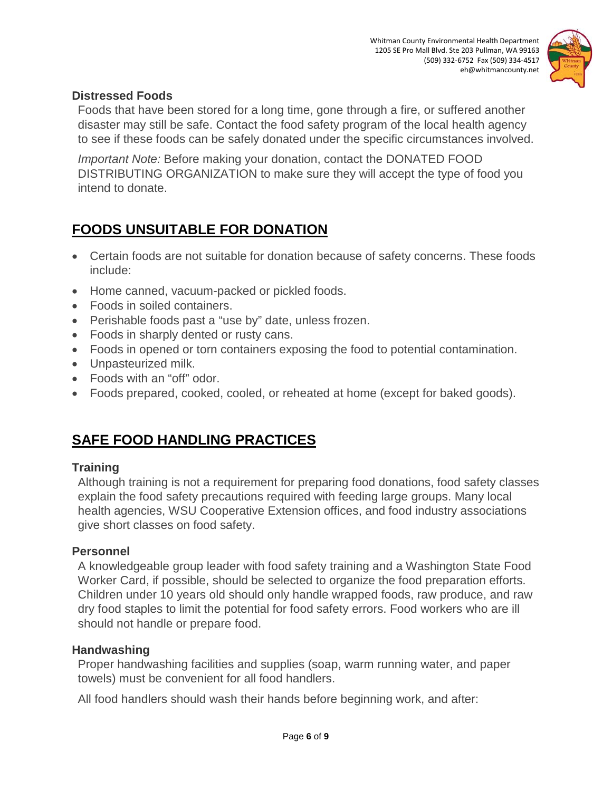

### **Distressed Foods**

Foods that have been stored for a long time, gone through a fire, or suffered another disaster may still be safe. Contact the food safety program of the local health agency to see if these foods can be safely donated under the specific circumstances involved.

*Important Note:* Before making your donation, contact the DONATED FOOD DISTRIBUTING ORGANIZATION to make sure they will accept the type of food you intend to donate.

# **FOODS UNSUITABLE FOR DONATION**

- Certain foods are not suitable for donation because of safety concerns. These foods include:
- Home canned, vacuum-packed or pickled foods.
- Foods in soiled containers.
- Perishable foods past a "use by" date, unless frozen.
- Foods in sharply dented or rusty cans.
- Foods in opened or torn containers exposing the food to potential contamination.
- Unpasteurized milk.
- Foods with an "off" odor.
- Foods prepared, cooked, cooled, or reheated at home (except for baked goods).

# **SAFE FOOD HANDLING PRACTICES**

### **Training**

Although training is not a requirement for preparing food donations, food safety classes explain the food safety precautions required with feeding large groups. Many local health agencies, WSU Cooperative Extension offices, and food industry associations give short classes on food safety.

#### **Personnel**

A knowledgeable group leader with food safety training and a Washington State Food Worker Card, if possible, should be selected to organize the food preparation efforts. Children under 10 years old should only handle wrapped foods, raw produce, and raw dry food staples to limit the potential for food safety errors. Food workers who are ill should not handle or prepare food.

#### **Handwashing**

Proper handwashing facilities and supplies (soap, warm running water, and paper towels) must be convenient for all food handlers.

All food handlers should wash their hands before beginning work, and after: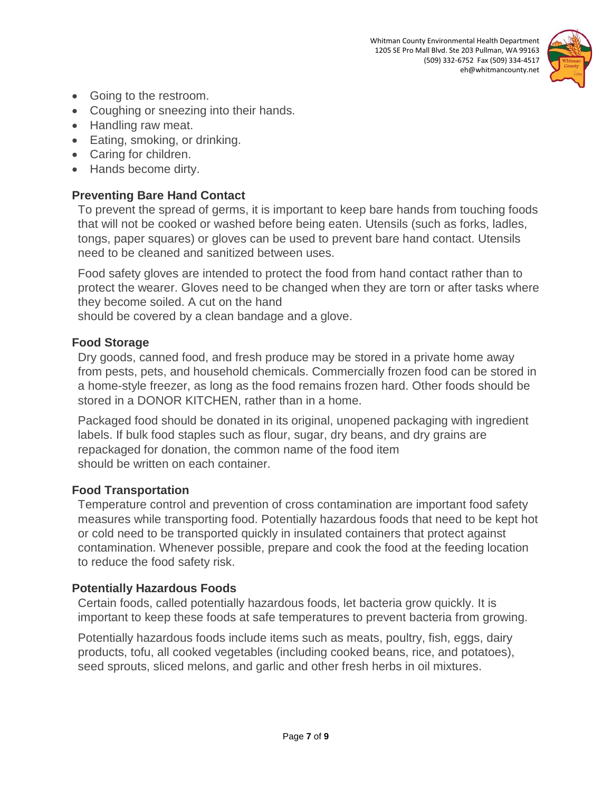

- Going to the restroom.
- Coughing or sneezing into their hands.
- Handling raw meat.
- Eating, smoking, or drinking.
- Caring for children.
- Hands become dirty.

### **Preventing Bare Hand Contact**

To prevent the spread of germs, it is important to keep bare hands from touching foods that will not be cooked or washed before being eaten. Utensils (such as forks, ladles, tongs, paper squares) or gloves can be used to prevent bare hand contact. Utensils need to be cleaned and sanitized between uses.

Food safety gloves are intended to protect the food from hand contact rather than to protect the wearer. Gloves need to be changed when they are torn or after tasks where they become soiled. A cut on the hand

should be covered by a clean bandage and a glove.

### **Food Storage**

Dry goods, canned food, and fresh produce may be stored in a private home away from pests, pets, and household chemicals. Commercially frozen food can be stored in a home-style freezer, as long as the food remains frozen hard. Other foods should be stored in a DONOR KITCHEN, rather than in a home.

Packaged food should be donated in its original, unopened packaging with ingredient labels. If bulk food staples such as flour, sugar, dry beans, and dry grains are repackaged for donation, the common name of the food item should be written on each container.

### **Food Transportation**

Temperature control and prevention of cross contamination are important food safety measures while transporting food. Potentially hazardous foods that need to be kept hot or cold need to be transported quickly in insulated containers that protect against contamination. Whenever possible, prepare and cook the food at the feeding location to reduce the food safety risk.

### **Potentially Hazardous Foods**

Certain foods, called potentially hazardous foods, let bacteria grow quickly. It is important to keep these foods at safe temperatures to prevent bacteria from growing.

Potentially hazardous foods include items such as meats, poultry, fish, eggs, dairy products, tofu, all cooked vegetables (including cooked beans, rice, and potatoes), seed sprouts, sliced melons, and garlic and other fresh herbs in oil mixtures.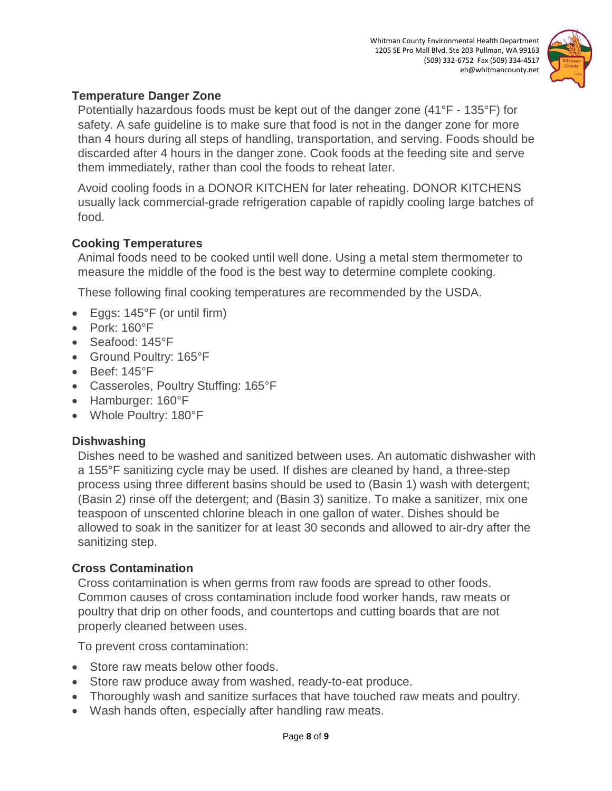

### **Temperature Danger Zone**

Potentially hazardous foods must be kept out of the danger zone (41°F - 135°F) for safety. A safe guideline is to make sure that food is not in the danger zone for more than 4 hours during all steps of handling, transportation, and serving. Foods should be discarded after 4 hours in the danger zone. Cook foods at the feeding site and serve them immediately, rather than cool the foods to reheat later.

Avoid cooling foods in a DONOR KITCHEN for later reheating. DONOR KITCHENS usually lack commercial-grade refrigeration capable of rapidly cooling large batches of food.

### **Cooking Temperatures**

Animal foods need to be cooked until well done. Using a metal stem thermometer to measure the middle of the food is the best way to determine complete cooking.

These following final cooking temperatures are recommended by the USDA.

- Eggs: 145°F (or until firm)
- Pork: 160°F
- Seafood: 145°F
- Ground Poultry: 165°F
- Beef: 145°F
- Casseroles, Poultry Stuffing: 165°F
- Hamburger: 160°F
- Whole Poultry: 180°F

### **Dishwashing**

Dishes need to be washed and sanitized between uses. An automatic dishwasher with a 155°F sanitizing cycle may be used. If dishes are cleaned by hand, a three-step process using three different basins should be used to (Basin 1) wash with detergent; (Basin 2) rinse off the detergent; and (Basin 3) sanitize. To make a sanitizer, mix one teaspoon of unscented chlorine bleach in one gallon of water. Dishes should be allowed to soak in the sanitizer for at least 30 seconds and allowed to air-dry after the sanitizing step.

### **Cross Contamination**

Cross contamination is when germs from raw foods are spread to other foods. Common causes of cross contamination include food worker hands, raw meats or poultry that drip on other foods, and countertops and cutting boards that are not properly cleaned between uses.

To prevent cross contamination:

- Store raw meats below other foods.
- Store raw produce away from washed, ready-to-eat produce.
- Thoroughly wash and sanitize surfaces that have touched raw meats and poultry.
- Wash hands often, especially after handling raw meats.